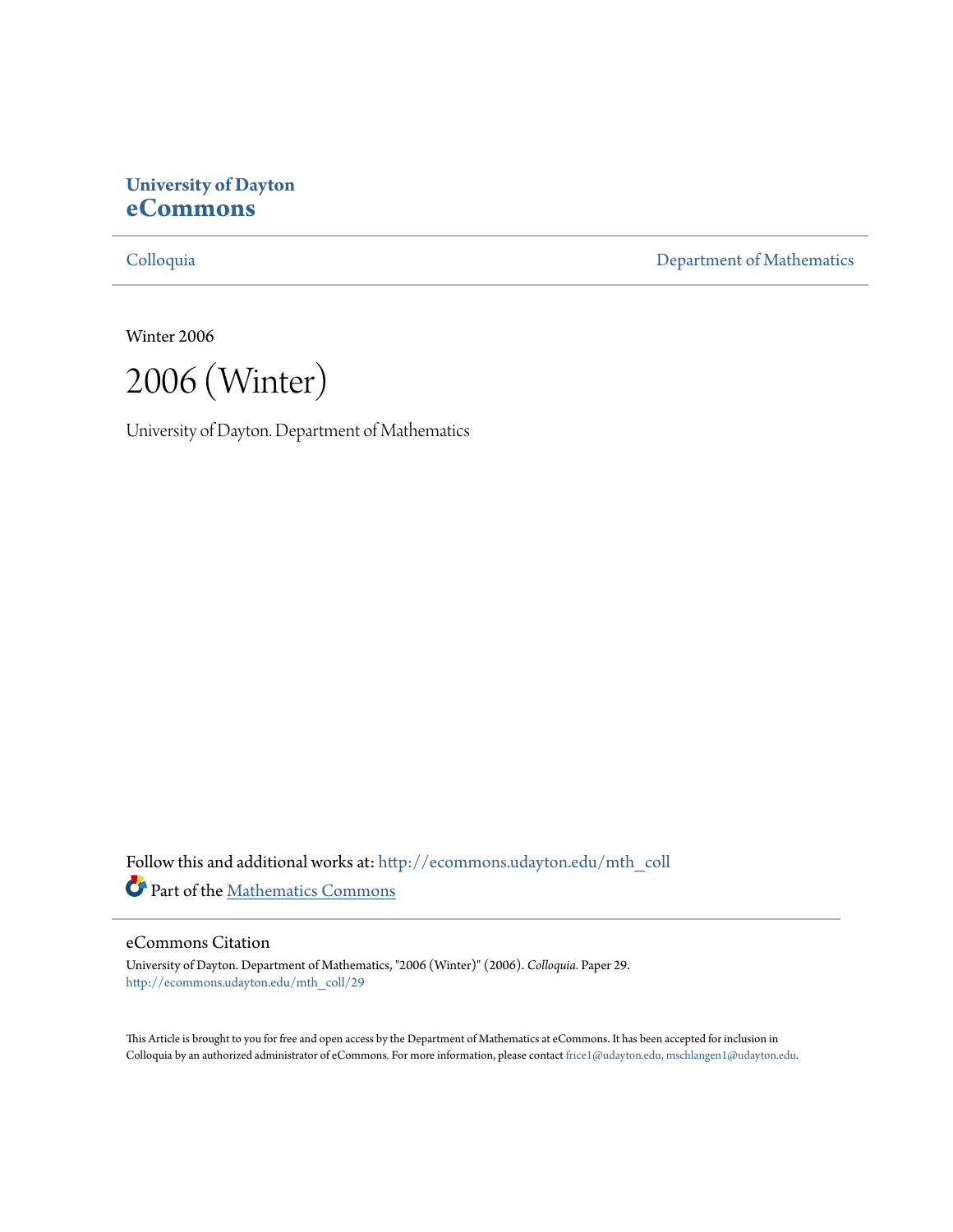# **University of Dayton [eCommons](http://ecommons.udayton.edu?utm_source=ecommons.udayton.edu%2Fmth_coll%2F29&utm_medium=PDF&utm_campaign=PDFCoverPages)**

[Colloquia](http://ecommons.udayton.edu/mth_coll?utm_source=ecommons.udayton.edu%2Fmth_coll%2F29&utm_medium=PDF&utm_campaign=PDFCoverPages) [Department of Mathematics](http://ecommons.udayton.edu/mth?utm_source=ecommons.udayton.edu%2Fmth_coll%2F29&utm_medium=PDF&utm_campaign=PDFCoverPages)

Winter 2006

2006 (Winter)

University of Dayton. Department of Mathematics

Follow this and additional works at: [http://ecommons.udayton.edu/mth\\_coll](http://ecommons.udayton.edu/mth_coll?utm_source=ecommons.udayton.edu%2Fmth_coll%2F29&utm_medium=PDF&utm_campaign=PDFCoverPages) Part of the [Mathematics Commons](http://network.bepress.com/hgg/discipline/174?utm_source=ecommons.udayton.edu%2Fmth_coll%2F29&utm_medium=PDF&utm_campaign=PDFCoverPages)

### eCommons Citation

University of Dayton. Department of Mathematics, "2006 (Winter)" (2006). *Colloquia.* Paper 29. [http://ecommons.udayton.edu/mth\\_coll/29](http://ecommons.udayton.edu/mth_coll/29?utm_source=ecommons.udayton.edu%2Fmth_coll%2F29&utm_medium=PDF&utm_campaign=PDFCoverPages)

This Article is brought to you for free and open access by the Department of Mathematics at eCommons. It has been accepted for inclusion in Colloquia by an authorized administrator of eCommons. For more information, please contact [frice1@udayton.edu, mschlangen1@udayton.edu.](mailto:frice1@udayton.edu,%20mschlangen1@udayton.edu)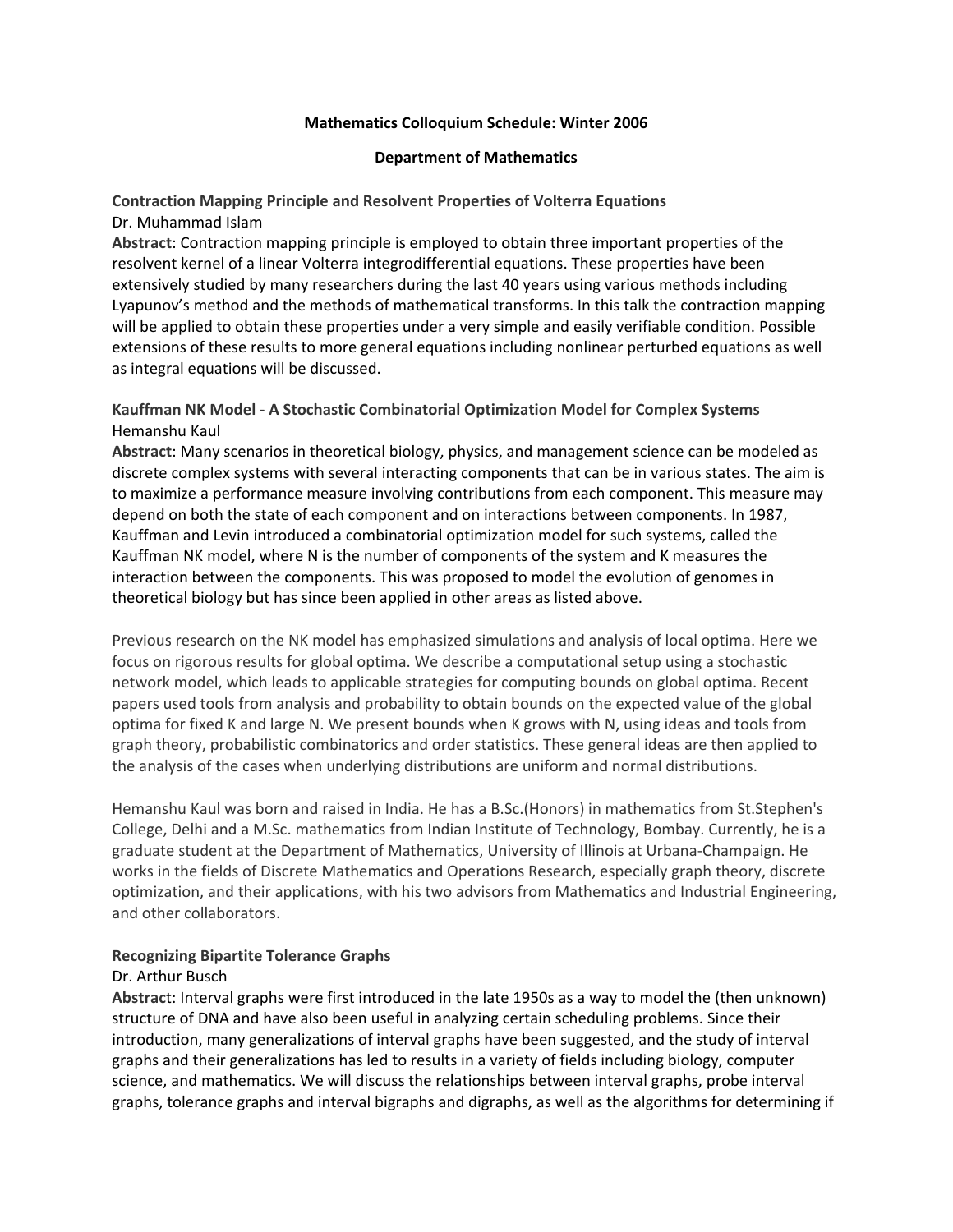#### **Mathematics Colloquium Schedule: Winter 2006**

#### **Department of Mathematics**

# **Contraction Mapping Principle and Resolvent Properties of Volterra Equations**

### Dr. Muhammad Islam

**Abstract**: Contraction mapping principle is employed to obtain three important properties of the resolvent kernel of a linear Volterra integrodifferential equations. These properties have been extensively studied by many researchers during the last 40 years using various methods including Lyapunov's method and the methods of mathematical transforms. In this talk the contraction mapping will be applied to obtain these properties under a very simple and easily verifiable condition. Possible extensions of these results to more general equations including nonlinear perturbed equations as well as integral equations will be discussed.

# **Kauffman NK Model ‐ A Stochastic Combinatorial Optimization Model for Complex Systems** Hemanshu Kaul

**Abstract**: Many scenarios in theoretical biology, physics, and management science can be modeled as discrete complex systems with several interacting components that can be in various states. The aim is to maximize a performance measure involving contributions from each component. This measure may depend on both the state of each component and on interactions between components. In 1987, Kauffman and Levin introduced a combinatorial optimization model for such systems, called the Kauffman NK model, where N is the number of components of the system and K measures the interaction between the components. This was proposed to model the evolution of genomes in theoretical biology but has since been applied in other areas as listed above.

Previous research on the NK model has emphasized simulations and analysis of local optima. Here we focus on rigorous results for global optima. We describe a computational setup using a stochastic network model, which leads to applicable strategies for computing bounds on global optima. Recent papers used tools from analysis and probability to obtain bounds on the expected value of the global optima for fixed K and large N. We present bounds when K grows with N, using ideas and tools from graph theory, probabilistic combinatorics and order statistics. These general ideas are then applied to the analysis of the cases when underlying distributions are uniform and normal distributions.

Hemanshu Kaul was born and raised in India. He has a B.Sc.(Honors) in mathematics from St.Stephen's College, Delhi and a M.Sc. mathematics from Indian Institute of Technology, Bombay. Currently, he is a graduate student at the Department of Mathematics, University of Illinois at Urbana‐Champaign. He works in the fields of Discrete Mathematics and Operations Research, especially graph theory, discrete optimization, and their applications, with his two advisors from Mathematics and Industrial Engineering, and other collaborators.

### **Recognizing Bipartite Tolerance Graphs**

### Dr. Arthur Busch

**Abstrac**t: Interval graphs were first introduced in the late 1950s as a way to model the (then unknown) structure of DNA and have also been useful in analyzing certain scheduling problems. Since their introduction, many generalizations of interval graphs have been suggested, and the study of interval graphs and their generalizations has led to results in a variety of fields including biology, computer science, and mathematics. We will discuss the relationships between interval graphs, probe interval graphs, tolerance graphs and interval bigraphs and digraphs, as well as the algorithms for determining if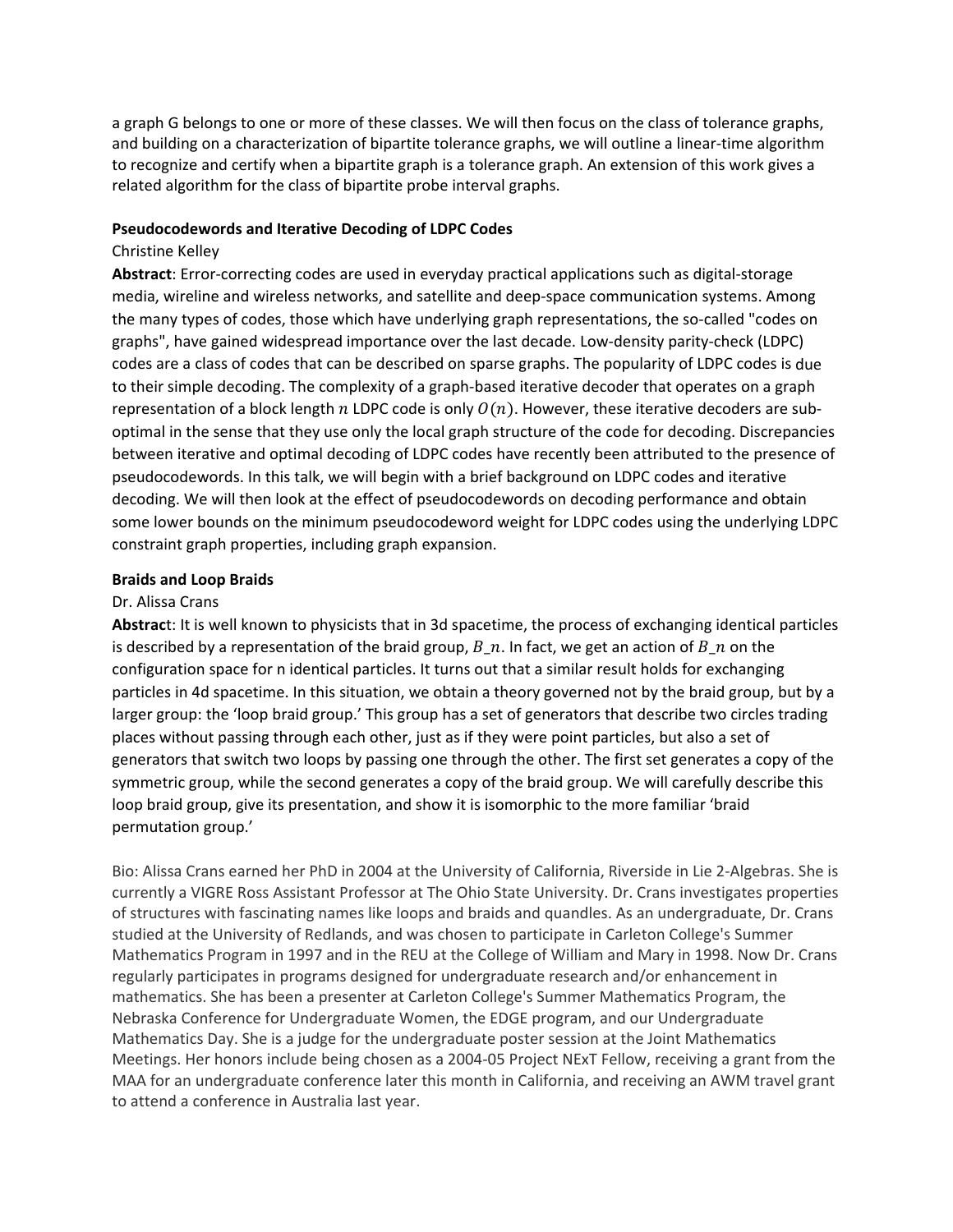a graph G belongs to one or more of these classes. We will then focus on the class of tolerance graphs, and building on a characterization of bipartite tolerance graphs, we will outline a linear-time algorithm to recognize and certify when a bipartite graph is a tolerance graph. An extension of this work gives a related algorithm for the class of bipartite probe interval graphs.

#### **Pseudocodewords and Iterative Decoding of LDPC Codes**

#### Christine Kelley

**Abstract**: Error‐correcting codes are used in everyday practical applications such as digital‐storage media, wireline and wireless networks, and satellite and deep‐space communication systems. Among the many types of codes, those which have underlying graph representations, the so-called "codes on graphs", have gained widespread importance over the last decade. Low‐density parity‐check (LDPC) codes are a class of codes that can be described on sparse graphs. The popularity of LDPC codes is due to their simple decoding. The complexity of a graph‐based iterative decoder that operates on a graph representation of a block length  $n$  LDPC code is only  $O(n)$ . However, these iterative decoders are suboptimal in the sense that they use only the local graph structure of the code for decoding. Discrepancies between iterative and optimal decoding of LDPC codes have recently been attributed to the presence of pseudocodewords. In this talk, we will begin with a brief background on LDPC codes and iterative decoding. We will then look at the effect of pseudocodewords on decoding performance and obtain some lower bounds on the minimum pseudocodeword weight for LDPC codes using the underlying LDPC constraint graph properties, including graph expansion.

#### **Braids and Loop Braids**

#### Dr. Alissa Crans

**Abstrac**t: It is well known to physicists that in 3d spacetime, the process of exchanging identical particles is described by a representation of the braid group,  $B_n$ . In fact, we get an action of  $B_n$  on the configuration space for n identical particles. It turns out that a similar result holds for exchanging particles in 4d spacetime. In this situation, we obtain a theory governed not by the braid group, but by a larger group: the 'loop braid group.' This group has a set of generators that describe two circles trading places without passing through each other, just as if they were point particles, but also a set of generators that switch two loops by passing one through the other. The first set generates a copy of the symmetric group, while the second generates a copy of the braid group. We will carefully describe this loop braid group, give its presentation, and show it is isomorphic to the more familiar 'braid permutation group.'

Bio: Alissa Crans earned her PhD in 2004 at the University of California, Riverside in Lie 2‐Algebras. She is currently a VIGRE Ross Assistant Professor at The Ohio State University. Dr. Crans investigates properties of structures with fascinating names like loops and braids and quandles. As an undergraduate, Dr. Crans studied at the University of Redlands, and was chosen to participate in Carleton College's Summer Mathematics Program in 1997 and in the REU at the College of William and Mary in 1998. Now Dr. Crans regularly participates in programs designed for undergraduate research and/or enhancement in mathematics. She has been a presenter at Carleton College's Summer Mathematics Program, the Nebraska Conference for Undergraduate Women, the EDGE program, and our Undergraduate Mathematics Day. She is a judge for the undergraduate poster session at the Joint Mathematics Meetings. Her honors include being chosen as a 2004‐05 Project NExT Fellow, receiving a grant from the MAA for an undergraduate conference later this month in California, and receiving an AWM travel grant to attend a conference in Australia last year.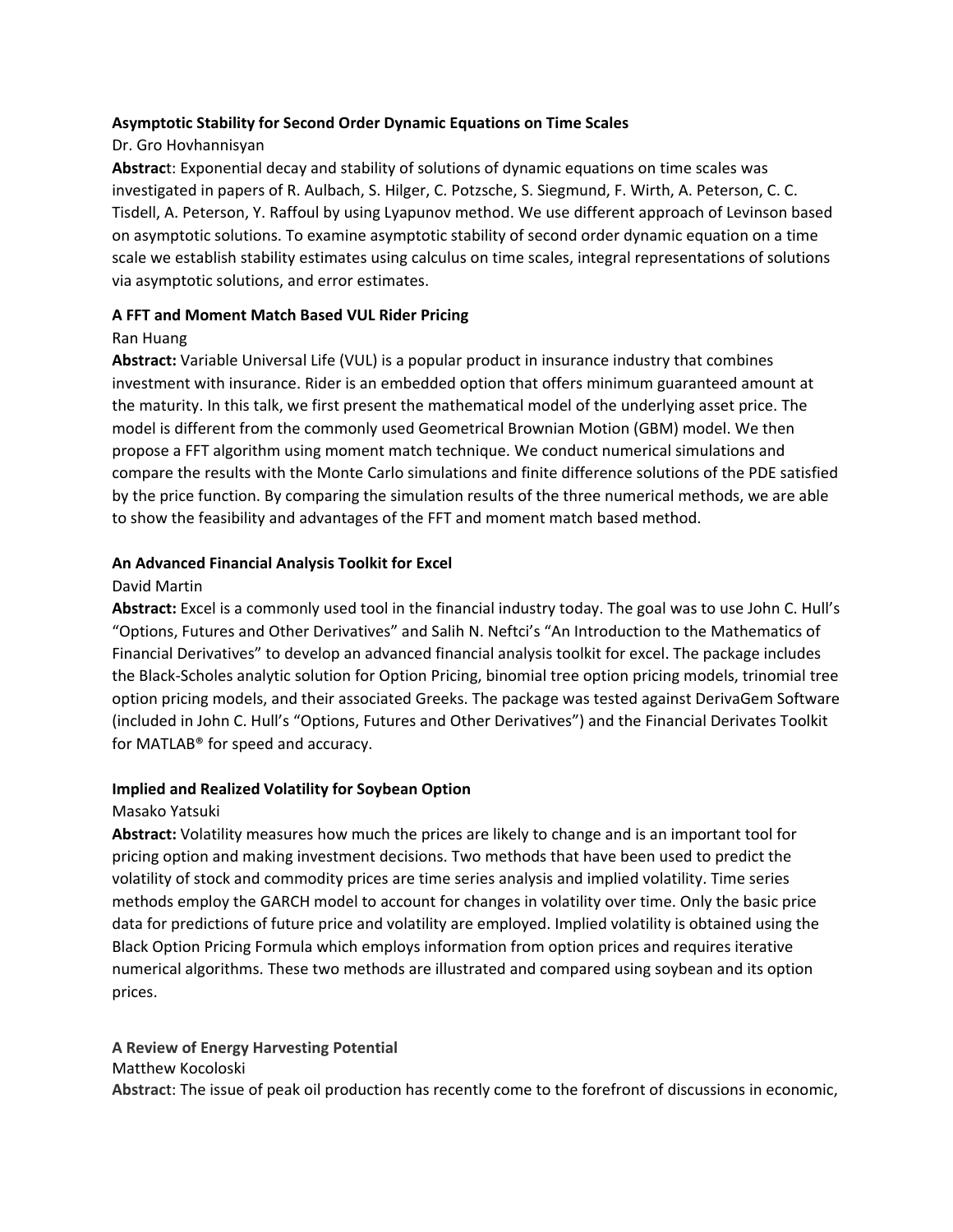### **Asymptotic Stability for Second Order Dynamic Equations on Time Scales**

# Dr. Gro Hovhannisyan

**Abstrac**t: Exponential decay and stability of solutions of dynamic equations on time scales was investigated in papers of R. Aulbach, S. Hilger, C. Potzsche, S. Siegmund, F. Wirth, A. Peterson, C. C. Tisdell, A. Peterson, Y. Raffoul by using Lyapunov method. We use different approach of Levinson based on asymptotic solutions. To examine asymptotic stability of second order dynamic equation on a time scale we establish stability estimates using calculus on time scales, integral representations of solutions via asymptotic solutions, and error estimates.

# **A FFT and Moment Match Based VUL Rider Pricing**

## Ran Huang

**Abstract:** Variable Universal Life (VUL) is a popular product in insurance industry that combines investment with insurance. Rider is an embedded option that offers minimum guaranteed amount at the maturity. In this talk, we first present the mathematical model of the underlying asset price. The model is different from the commonly used Geometrical Brownian Motion (GBM) model. We then propose a FFT algorithm using moment match technique. We conduct numerical simulations and compare the results with the Monte Carlo simulations and finite difference solutions of the PDE satisfied by the price function. By comparing the simulation results of the three numerical methods, we are able to show the feasibility and advantages of the FFT and moment match based method.

## **An Advanced Financial Analysis Toolkit for Excel**

# David Martin

**Abstract:** Excel is a commonly used tool in the financial industry today. The goal was to use John C. Hull's "Options, Futures and Other Derivatives" and Salih N. Neftci's "An Introduction to the Mathematics of Financial Derivatives" to develop an advanced financial analysis toolkit for excel. The package includes the Black‐Scholes analytic solution for Option Pricing, binomial tree option pricing models, trinomial tree option pricing models, and their associated Greeks. The package was tested against DerivaGem Software (included in John C. Hull's "Options, Futures and Other Derivatives") and the Financial Derivates Toolkit for MATLAB® for speed and accuracy.

# **Implied and Realized Volatility for Soybean Option**

### Masako Yatsuki

**Abstract:** Volatility measures how much the prices are likely to change and is an important tool for pricing option and making investment decisions. Two methods that have been used to predict the volatility of stock and commodity prices are time series analysis and implied volatility. Time series methods employ the GARCH model to account for changes in volatility over time. Only the basic price data for predictions of future price and volatility are employed. Implied volatility is obtained using the Black Option Pricing Formula which employs information from option prices and requires iterative numerical algorithms. These two methods are illustrated and compared using soybean and its option prices.

# **A Review of Energy Harvesting Potential**

### Matthew Kocoloski

**Abstrac**t: The issue of peak oil production has recently come to the forefront of discussions in economic,